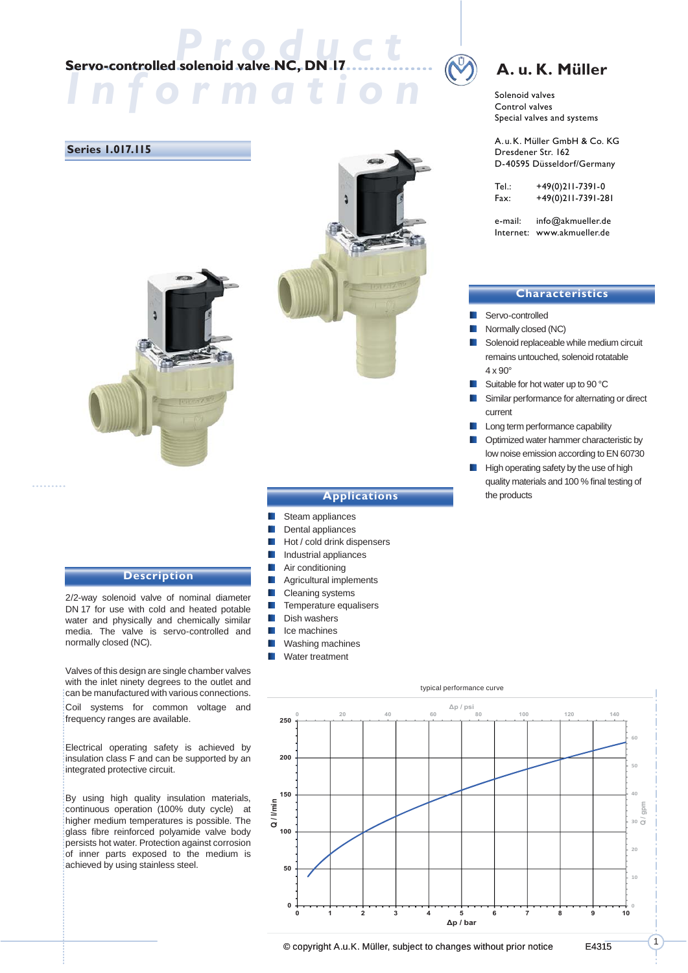# **Servo-controlled solenoid valve NC, DN 17**

*Information*

#### **Series 1.017.115**



#### **Description**

2/2-way solenoid valve of nominal diameter DN 17 for use with cold and heated potable water and physically and chemically similar media. The valve is servo-controlled and normally closed (NC).

Valves of this design are single chamber valves with the inlet ninety degrees to the outlet and can be manufactured with various connections. Coil systems for common voltage and frequency ranges are available.

Electrical operating safety is achieved by insulation class F and can be supported by an integrated protective circuit.

By using high quality insulation materials, continuous operation (100% duty cycle) at higher medium temperatures is possible. The glass fibre reinforced polyamide valve body persists hot water. Protection against corrosion of inner parts exposed to the medium is achieved by using stainless steel.

### **A. u. K. Müller**

Solenoid valves Control valves Special valves and systems

A.u.K. Müller GmbH & Co. KG Dresdener Str. 162 D-40595 Düsseldorf/Germany

| Tel.: | +49(0)211-7391-0   |
|-------|--------------------|
| Fax:  | +49(0)211-7391-281 |

e-mail: info@akmueller.de Internet: www.akmueller.de

#### **Characteristics**

- Servo-controlled
- Normally closed (NC)
- Solenoid replaceable while medium circuit remains untouched, solenoid rotatable  $4 \times 90^\circ$
- **Suitable for hot water up to 90 °C**
- Similar performance for alternating or direct current
- **Long term performance capability**
- **DECO** Optimized water hammer characteristic by low noise emission according to EN 60730
- High operating safety by the use of high quality materials and 100 % final testing of the products



- Steam appliances
- **Dental appliances**
- **Hot / cold drink dispensers**
- **I**I Industrial appliances
- **Air conditioning**
- **Agricultural implements**
- **Cleaning systems**
- $\blacksquare$  Temperature equalisers
- **Dish washers**
- **I**I Ice machines
- **Washing machines**
- **Water treatment**



1